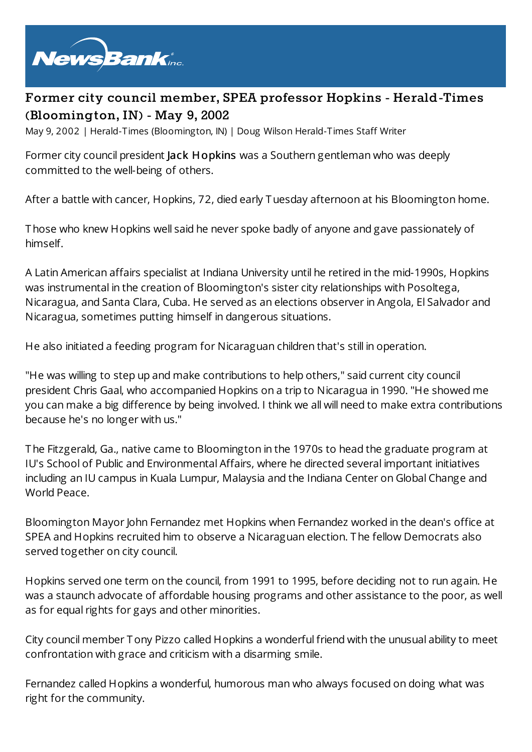

## **Former city council member, SPEA professor Hopkins - Herald-Times (Bloomington, IN) - May 9, 2002**

May 9, 2002 | Herald-Times (Bloomington, IN) | Doug Wilson Herald-Times Staff Writer

Former city council president Jack Hopkins was a Southern gentleman who was deeply committed to the well-being of others.

After a battle with cancer, Hopkins, 72, died early Tuesday afternoon at his Bloomington home.

Those who knew Hopkins well said he never spoke badly of anyone and gave passionately of himself.

A Latin American affairs specialist at Indiana University until he retired in the mid-1990s, Hopkins was instrumental in the creation of Bloomington's sister city relationships with Posoltega, Nicaragua, and Santa Clara, Cuba. He served as an elections observer in Angola, El Salvador and Nicaragua, sometimes putting himself in dangerous situations.

He also initiated a feeding program for Nicaraguan children that's still in operation.

"He was willing to step up and make contributions to help others," said current city council president Chris Gaal, who accompanied Hopkins on a trip to Nicaragua in 1990. "He showed me you can make a big difference by being involved. I think we all will need to make extra contributions because he's no longer with us."

The Fitzgerald, Ga., native came to Bloomington in the 1970s to head the graduate program at IU's School of Public and Environmental Affairs, where he directed several important initiatives including an IU campus in Kuala Lumpur, Malaysia and the Indiana Center on Global Change and World Peace.

Bloomington Mayor John Fernandez met Hopkins when Fernandez worked in the dean's office at SPEA and Hopkins recruited him to observe a Nicaraguan election. The fellow Democrats also served together on city council.

Hopkins served one term on the council, from 1991 to 1995, before deciding not to run again. He was a staunch advocate of affordable housing programs and other assistance to the poor, as well as for equal rights for gays and other minorities.

City council member Tony Pizzo called Hopkins a wonderful friend with the unusual ability to meet confrontation with grace and criticism with a disarming smile.

Fernandez called Hopkins a wonderful, humorous man who always focused on doing what was right for the community.